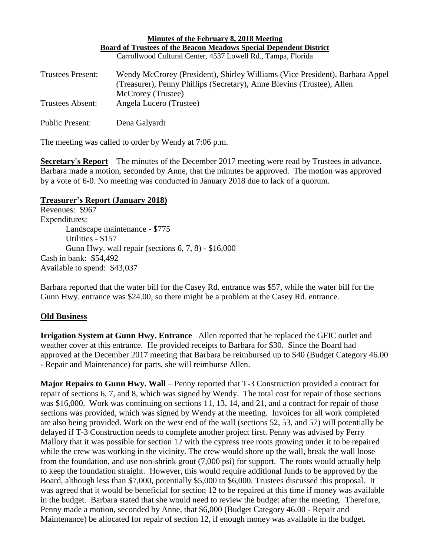| Minutes of the February 8, 2018 Meeting<br><b>Board of Trustees of the Beacon Meadows Special Dependent District</b> |                                                                                                                                                        |
|----------------------------------------------------------------------------------------------------------------------|--------------------------------------------------------------------------------------------------------------------------------------------------------|
|                                                                                                                      |                                                                                                                                                        |
| <b>Trustees Present:</b>                                                                                             | Wendy McCrorey (President), Shirley Williams (Vice President), Barbara Appel<br>(Treasurer), Penny Phillips (Secretary), Anne Blevins (Trustee), Allen |
| <b>Trustees Absent:</b>                                                                                              | McCrorey (Trustee)<br>Angela Lucero (Trustee)                                                                                                          |
| <b>Public Present:</b>                                                                                               | Dena Galyardt                                                                                                                                          |

The meeting was called to order by Wendy at 7:06 p.m.

**Secretary's Report** – The minutes of the December 2017 meeting were read by Trustees in advance. Barbara made a motion, seconded by Anne, that the minutes be approved. The motion was approved by a vote of 6-0. No meeting was conducted in January 2018 due to lack of a quorum.

## **Treasurer's Report (January 2018)**

Revenues: \$967 Expenditures: Landscape maintenance - \$775 Utilities - \$157 Gunn Hwy. wall repair (sections 6, 7, 8) - \$16,000 Cash in bank: \$54,492 Available to spend: \$43,037

Barbara reported that the water bill for the Casey Rd. entrance was \$57, while the water bill for the Gunn Hwy. entrance was \$24.00, so there might be a problem at the Casey Rd. entrance.

## **Old Business**

**Irrigation System at Gunn Hwy. Entrance** –Allen reported that he replaced the GFIC outlet and weather cover at this entrance. He provided receipts to Barbara for \$30. Since the Board had approved at the December 2017 meeting that Barbara be reimbursed up to \$40 (Budget Category 46.00 - Repair and Maintenance) for parts, she will reimburse Allen.

**Major Repairs to Gunn Hwy. Wall** – Penny reported that T-3 Construction provided a contract for repair of sections 6, 7, and 8, which was signed by Wendy. The total cost for repair of those sections was \$16,000. Work was continuing on sections 11, 13, 14, and 21, and a contract for repair of those sections was provided, which was signed by Wendy at the meeting. Invoices for all work completed are also being provided. Work on the west end of the wall (sections 52, 53, and 57) will potentially be delayed if T-3 Construction needs to complete another project first. Penny was advised by Perry Mallory that it was possible for section 12 with the cypress tree roots growing under it to be repaired while the crew was working in the vicinity. The crew would shore up the wall, break the wall loose from the foundation, and use non-shrink grout (7,000 psi) for support. The roots would actually help to keep the foundation straight. However, this would require additional funds to be approved by the Board, although less than \$7,000, potentially \$5,000 to \$6,000. Trustees discussed this proposal. It was agreed that it would be beneficial for section 12 to be repaired at this time if money was available in the budget. Barbara stated that she would need to review the budget after the meeting. Therefore, Penny made a motion, seconded by Anne, that \$6,000 (Budget Category 46.00 - Repair and Maintenance) be allocated for repair of section 12, if enough money was available in the budget.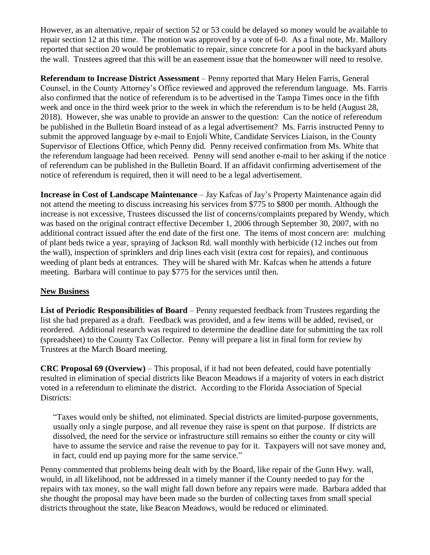However, as an alternative, repair of section 52 or 53 could be delayed so money would be available to repair section 12 at this time. The motion was approved by a vote of 6-0. As a final note, Mr. Mallory reported that section 20 would be problematic to repair, since concrete for a pool in the backyard abuts the wall. Trustees agreed that this will be an easement issue that the homeowner will need to resolve.

**Referendum to Increase District Assessment** – Penny reported that Mary Helen Farris, General Counsel, in the County Attorney's Office reviewed and approved the referendum language. Ms. Farris also confirmed that the notice of referendum is to be advertised in the Tampa Times once in the fifth week and once in the third week prior to the week in which the referendum is to be held (August 28, 2018). However, she was unable to provide an answer to the question: Can the notice of referendum be published in the Bulletin Board instead of as a legal advertisement? Ms. Farris instructed Penny to submit the approved language by e-mail to Enjoli White, Candidate Services Liaison, in the County Supervisor of Elections Office, which Penny did. Penny received confirmation from Ms. White that the referendum language had been received. Penny will send another e-mail to her asking if the notice of referendum can be published in the Bulletin Board. If an affidavit confirming advertisement of the notice of referendum is required, then it will need to be a legal advertisement.

**Increase in Cost of Landscape Maintenance** – Jay Kafcas of Jay's Property Maintenance again did not attend the meeting to discuss increasing his services from \$775 to \$800 per month. Although the increase is not excessive, Trustees discussed the list of concerns/complaints prepared by Wendy, which was based on the original contract effective December 1, 2006 through September 30, 2007, with no additional contract issued after the end date of the first one. The items of most concern are: mulching of plant beds twice a year, spraying of Jackson Rd. wall monthly with herbicide (12 inches out from the wall), inspection of sprinklers and drip lines each visit (extra cost for repairs), and continuous weeding of plant beds at entrances. They will be shared with Mr. Kafcas when he attends a future meeting. Barbara will continue to pay \$775 for the services until then.

## **New Business**

**List of Periodic Responsibilities of Board** – Penny requested feedback from Trustees regarding the list she had prepared as a draft. Feedback was provided, and a few items will be added, revised, or reordered. Additional research was required to determine the deadline date for submitting the tax roll (spreadsheet) to the County Tax Collector. Penny will prepare a list in final form for review by Trustees at the March Board meeting.

**CRC Proposal 69 (Overview)** – This proposal, if it had not been defeated, could have potentially resulted in elimination of special districts like Beacon Meadows if a majority of voters in each district voted in a referendum to eliminate the district. According to the Florida Association of Special Districts:

"Taxes would only be shifted, not eliminated. Special districts are limited-purpose governments, usually only a single purpose, and all revenue they raise is spent on that purpose. If districts are dissolved, the need for the service or infrastructure still remains so either the county or city will have to assume the service and raise the revenue to pay for it. Taxpayers will not save money and, in fact, could end up paying more for the same service."

Penny commented that problems being dealt with by the Board, like repair of the Gunn Hwy. wall, would, in all likelihood, not be addressed in a timely manner if the County needed to pay for the repairs with tax money, so the wall might fall down before any repairs were made. Barbara added that she thought the proposal may have been made so the burden of collecting taxes from small special districts throughout the state, like Beacon Meadows, would be reduced or eliminated.